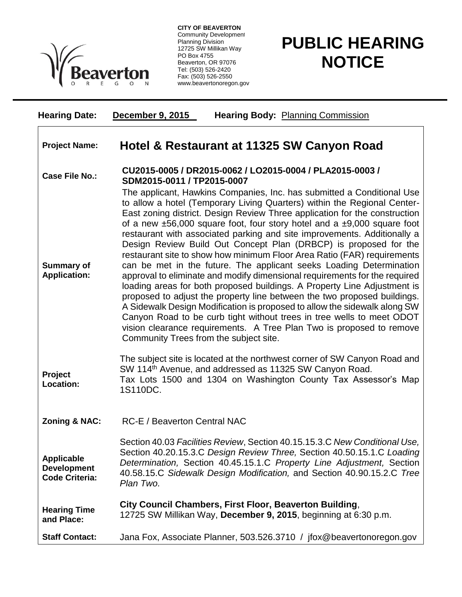

**CITY OF BEAVERTON** Community Development Planning Division 12725 SW Millikan Way PO Box 4755 Beaverton, OR 97076 Tel: (503) 526-2420 Fax: (503) 526-2550 www.beavertonoregon.gov

## **PUBLIC HEARING NOTICE**

| <b>Hearing Date:</b>                                             | <b>December 9, 2015</b><br><b>Hearing Body: Planning Commission</b>                                                                                                                                                                                                                                                                                                                                                                                                                                                                                                                                                                                                                                                                                                                                                                                                                                                                                                                                                                                                                                                                   |
|------------------------------------------------------------------|---------------------------------------------------------------------------------------------------------------------------------------------------------------------------------------------------------------------------------------------------------------------------------------------------------------------------------------------------------------------------------------------------------------------------------------------------------------------------------------------------------------------------------------------------------------------------------------------------------------------------------------------------------------------------------------------------------------------------------------------------------------------------------------------------------------------------------------------------------------------------------------------------------------------------------------------------------------------------------------------------------------------------------------------------------------------------------------------------------------------------------------|
| <b>Project Name:</b>                                             | Hotel & Restaurant at 11325 SW Canyon Road                                                                                                                                                                                                                                                                                                                                                                                                                                                                                                                                                                                                                                                                                                                                                                                                                                                                                                                                                                                                                                                                                            |
| <b>Case File No.:</b>                                            | CU2015-0005 / DR2015-0062 / LO2015-0004 / PLA2015-0003 /<br>SDM2015-0011 / TP2015-0007                                                                                                                                                                                                                                                                                                                                                                                                                                                                                                                                                                                                                                                                                                                                                                                                                                                                                                                                                                                                                                                |
| <b>Summary of</b><br><b>Application:</b>                         | The applicant, Hawkins Companies, Inc. has submitted a Conditional Use<br>to allow a hotel (Temporary Living Quarters) within the Regional Center-<br>East zoning district. Design Review Three application for the construction<br>of a new $\pm 56,000$ square foot, four story hotel and a $\pm 9,000$ square foot<br>restaurant with associated parking and site improvements. Additionally a<br>Design Review Build Out Concept Plan (DRBCP) is proposed for the<br>restaurant site to show how minimum Floor Area Ratio (FAR) requirements<br>can be met in the future. The applicant seeks Loading Determination<br>approval to eliminate and modify dimensional requirements for the required<br>loading areas for both proposed buildings. A Property Line Adjustment is<br>proposed to adjust the property line between the two proposed buildings.<br>A Sidewalk Design Modification is proposed to allow the sidewalk along SW<br>Canyon Road to be curb tight without trees in tree wells to meet ODOT<br>vision clearance requirements. A Tree Plan Two is proposed to remove<br>Community Trees from the subject site. |
| Project<br>Location:                                             | The subject site is located at the northwest corner of SW Canyon Road and<br>SW 114 <sup>th</sup> Avenue, and addressed as 11325 SW Canyon Road.<br>Tax Lots 1500 and 1304 on Washington County Tax Assessor's Map<br>1S110DC.                                                                                                                                                                                                                                                                                                                                                                                                                                                                                                                                                                                                                                                                                                                                                                                                                                                                                                        |
| <b>Zoning &amp; NAC:</b>                                         | <b>RC-E / Beaverton Central NAC</b>                                                                                                                                                                                                                                                                                                                                                                                                                                                                                                                                                                                                                                                                                                                                                                                                                                                                                                                                                                                                                                                                                                   |
| <b>Applicable</b><br><b>Development</b><br><b>Code Criteria:</b> | Section 40.03 Facilities Review, Section 40.15.15.3.C New Conditional Use,<br>Section 40.20.15.3.C Design Review Three, Section 40.50.15.1.C Loading<br>Determination, Section 40.45.15.1.C Property Line Adjustment, Section<br>40.58.15.C Sidewalk Design Modification, and Section 40.90.15.2.C Tree<br>Plan Two.                                                                                                                                                                                                                                                                                                                                                                                                                                                                                                                                                                                                                                                                                                                                                                                                                  |
| <b>Hearing Time</b><br>and Place:                                | City Council Chambers, First Floor, Beaverton Building,<br>12725 SW Millikan Way, December 9, 2015, beginning at 6:30 p.m.                                                                                                                                                                                                                                                                                                                                                                                                                                                                                                                                                                                                                                                                                                                                                                                                                                                                                                                                                                                                            |
| <b>Staff Contact:</b>                                            | Jana Fox, Associate Planner, 503.526.3710 / jfox@beavertonoregon.gov                                                                                                                                                                                                                                                                                                                                                                                                                                                                                                                                                                                                                                                                                                                                                                                                                                                                                                                                                                                                                                                                  |